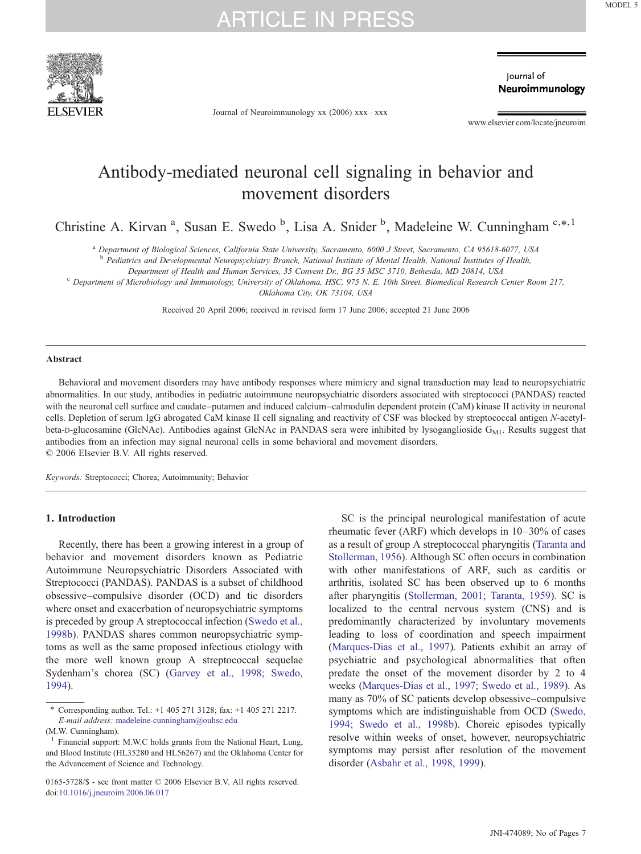

Journal of Neuroimmunology xx (2006) xxx–xxx

lournal of Neuroimmunology

www.elsevier.com/locate/jneuroim

### Antibody-mediated neuronal cell signaling in behavior and movement disorders

Christine A. Kirvan<sup>a</sup>, Susan E. Swedo<sup>b</sup>, Lisa A. Snider<sup>b</sup>, Madeleine W. Cunningham<sup>c,\*,1</sup>

a Department of Biological Sciences, California State University, Sacramento, 6000 J Street, Sacramento, CA 95618-6077, USA

<sup>b</sup> Pediatrics and Developmental Neuropsychiatry Branch, National Institute of Mental Health, National Institutes of Health,

Department of Health and Human Services, 35 Convent Dr., BG 35 MSC 3710, Bethesda, MD 20814, USA<br><sup>C</sup> Department of Microbiology and Immunology, University of Oklahoma, HSC, 975 N. E. 10th Street, Biomedical Research Center

Oklahoma City, OK 73104, USA

Received 20 April 2006; received in revised form 17 June 2006; accepted 21 June 2006

#### Abstract

Behavioral and movement disorders may have antibody responses where mimicry and signal transduction may lead to neuropsychiatric abnormalities. In our study, antibodies in pediatric autoimmune neuropsychiatric disorders associated with streptococci (PANDAS) reacted with the neuronal cell surface and caudate–putamen and induced calcium–calmodulin dependent protein (CaM) kinase II activity in neuronal cells. Depletion of serum IgG abrogated CaM kinase II cell signaling and reactivity of CSF was blocked by streptococcal antigen N-acetylbeta-D-glucosamine (GlcNAc). Antibodies against GlcNAc in PANDAS sera were inhibited by lysoganglioside  $G_{M1}$ . Results suggest that antibodies from an infection may signal neuronal cells in some behavioral and movement disorders. © 2006 Elsevier B.V. All rights reserved.

Keywords: Streptococci; Chorea; Autoimmunity; Behavior

#### 1. Introduction

Recently, there has been a growing interest in a group of behavior and movement disorders known as Pediatric Autoimmune Neuropsychiatric Disorders Associated with Streptococci (PANDAS). PANDAS is a subset of childhood obsessive–compulsive disorder (OCD) and tic disorders where onset and exacerbation of neuropsychiatric symptoms is preceded by group A streptococcal infection ([Swedo et al.,](#page-6-0) [1998b](#page-6-0)). PANDAS shares common neuropsychiatric symptoms as well as the same proposed infectious etiology with the more well known group A streptococcal sequelae Sydenham's chorea (SC) [\(Garvey et al., 1998; Swedo,](#page-6-0) [1994](#page-6-0)).

SC is the principal neurological manifestation of acute rheumatic fever (ARF) which develops in 10–30% of cases as a result of group A streptococcal pharyngitis [\(Taranta and](#page-6-0) [Stollerman, 1956](#page-6-0)). Although SC often occurs in combination with other manifestations of ARF, such as carditis or arthritis, isolated SC has been observed up to 6 months after pharyngitis [\(Stollerman, 2001; Taranta, 1959\)](#page-6-0). SC is localized to the central nervous system (CNS) and is predominantly characterized by involuntary movements leading to loss of coordination and speech impairment ([Marques-Dias et al., 1997](#page-6-0)). Patients exhibit an array of psychiatric and psychological abnormalities that often predate the onset of the movement disorder by 2 to 4 weeks ([Marques-Dias et al., 1997; Swedo et al., 1989](#page-6-0)). As many as 70% of SC patients develop obsessive–compulsive symptoms which are indistinguishable from OCD ([Swedo,](#page-6-0) [1994; Swedo et al., 1998b\)](#page-6-0). Choreic episodes typically resolve within weeks of onset, however, neuropsychiatric symptoms may persist after resolution of the movement disorder ([Asbahr et al., 1998, 1999](#page-6-0)).

<sup>⁎</sup> Corresponding author. Tel.: +1 405 271 3128; fax: +1 405 271 2217. E-mail address: [madeleine-cunningham@ouhsc.edu](mailto:madeleineunningham@ouhsc.edu)

<sup>(</sup>M.W. Cunningham).

<sup>1</sup> Financial support: M.W.C holds grants from the National Heart, Lung, and Blood Institute (HL35280 and HL56267) and the Oklahoma Center for the Advancement of Science and Technology.

<sup>0165-5728/\$ -</sup> see front matter © 2006 Elsevier B.V. All rights reserved. doi:[10.1016/j.jneuroim.2006.06.017](http://dx.doi.org/10.1016/j.jneuroim.2006.06.017)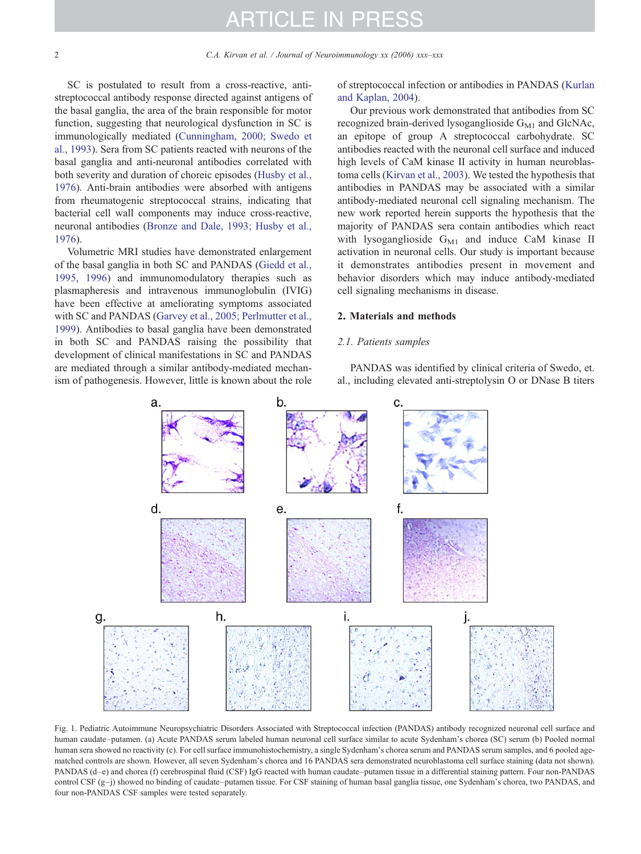<span id="page-1-0"></span>SC is postulated to result from a cross-reactive, antistreptococcal antibody response directed against antigens of the basal ganglia, the area of the brain responsible for motor function, suggesting that neurological dysfunction in SC is immunologically mediated [\(Cunningham, 2000; Swedo et](#page-6-0) [al., 1993](#page-6-0)). Sera from SC patients reacted with neurons of the basal ganglia and anti-neuronal antibodies correlated with both severity and duration of choreic episodes ([Husby et al.,](#page-6-0) [1976\)](#page-6-0). Anti-brain antibodies were absorbed with antigens from rheumatogenic streptococcal strains, indicating that bacterial cell wall components may induce cross-reactive, neuronal antibodies [\(Bronze and Dale, 1993; Husby et al.,](#page-6-0) [1976\)](#page-6-0).

Volumetric MRI studies have demonstrated enlargement of the basal ganglia in both SC and PANDAS ([Giedd et al.,](#page-6-0) [1995, 1996\)](#page-6-0) and immunomodulatory therapies such as plasmapheresis and intravenous immunoglobulin (IVIG) have been effective at ameliorating symptoms associated with SC and PANDAS [\(Garvey et al., 2005; Perlmutter et al.,](#page-6-0) [1999\)](#page-6-0). Antibodies to basal ganglia have been demonstrated in both SC and PANDAS raising the possibility that development of clinical manifestations in SC and PANDAS are mediated through a similar antibody-mediated mechanism of pathogenesis. However, little is known about the role of streptococcal infection or antibodies in PANDAS [\(Kurlan](#page-6-0) [and Kaplan, 2004](#page-6-0)).

Our previous work demonstrated that antibodies from SC recognized brain-derived lysoganglioside  $G_{M1}$  and GlcNAc, an epitope of group A streptococcal carbohydrate. SC antibodies reacted with the neuronal cell surface and induced high levels of CaM kinase II activity in human neuroblastoma cells ([Kirvan et al., 2003](#page-6-0)). We tested the hypothesis that antibodies in PANDAS may be associated with a similar antibody-mediated neuronal cell signaling mechanism. The new work reported herein supports the hypothesis that the majority of PANDAS sera contain antibodies which react with lysoganglioside  $G_{M1}$  and induce CaM kinase II activation in neuronal cells. Our study is important because it demonstrates antibodies present in movement and behavior disorders which may induce antibody-mediated cell signaling mechanisms in disease.

#### 2. Materials and methods

#### 2.1. Patients samples

PANDAS was identified by clinical criteria of Swedo, et. al., including elevated anti-streptolysin O or DNase B titers



Fig. 1. Pediatric Autoimmune Neuropsychiatric Disorders Associated with Streptococcal infection (PANDAS) antibody recognized neuronal cell surface and human caudate–putamen. (a) Acute PANDAS serum labeled human neuronal cell surface similar to acute Sydenham's chorea (SC) serum (b) Pooled normal human sera showed no reactivity (c). For cell surface immunohistochemistry, a single Sydenham's chorea serum and PANDAS serum samples, and 6 pooled agematched controls are shown. However, all seven Sydenham's chorea and 16 PANDAS sera demonstrated neuroblastoma cell surface staining (data not shown). PANDAS (d–e) and chorea (f) cerebrospinal fluid (CSF) IgG reacted with human caudate–putamen tissue in a differential staining pattern. Four non-PANDAS control CSF (g–j) showed no binding of caudate–putamen tissue. For CSF staining of human basal ganglia tissue, one Sydenham's chorea, two PANDAS, and four non-PANDAS CSF samples were tested separately.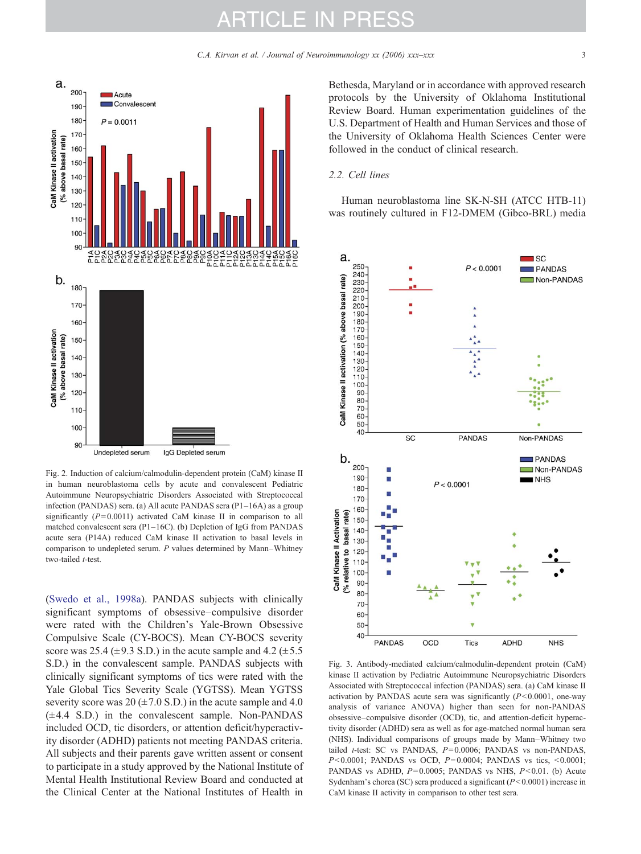<span id="page-2-0"></span>

Fig. 2. Induction of calcium/calmodulin-dependent protein (CaM) kinase II in human neuroblastoma cells by acute and convalescent Pediatric Autoimmune Neuropsychiatric Disorders Associated with Streptococcal infection (PANDAS) sera. (a) All acute PANDAS sera (P1–16A) as a group significantly  $(P= 0.0011)$  activated CaM kinase II in comparison to all matched convalescent sera (P1–16C). (b) Depletion of IgG from PANDAS acute sera (P14A) reduced CaM kinase II activation to basal levels in comparison to undepleted serum. P values determined by Mann–Whitney two-tailed *t*-test.

([Swedo et al., 1998a](#page-6-0)). PANDAS subjects with clinically significant symptoms of obsessive–compulsive disorder were rated with the Children's Yale-Brown Obsessive Compulsive Scale (CY-BOCS). Mean CY-BOCS severity score was 25.4 ( $\pm$ 9.3 S.D.) in the acute sample and 4.2 ( $\pm$ 5.5 S.D.) in the convalescent sample. PANDAS subjects with clinically significant symptoms of tics were rated with the Yale Global Tics Severity Scale (YGTSS). Mean YGTSS severity score was 20  $(\pm 7.0 \text{ S.D.})$  in the acute sample and 4.0  $(\pm 4.4 \text{ S.D.})$  in the convalescent sample. Non-PANDAS included OCD, tic disorders, or attention deficit/hyperactivity disorder (ADHD) patients not meeting PANDAS criteria. All subjects and their parents gave written assent or consent to participate in a study approved by the National Institute of Mental Health Institutional Review Board and conducted at the Clinical Center at the National Institutes of Health in

Bethesda, Maryland or in accordance with approved research protocols by the University of Oklahoma Institutional Review Board. Human experimentation guidelines of the U.S. Department of Health and Human Services and those of the University of Oklahoma Health Sciences Center were followed in the conduct of clinical research.

#### 2.2. Cell lines

Human neuroblastoma line SK-N-SH (ATCC HTB-11) was routinely cultured in F12-DMEM (Gibco-BRL) media



Fig. 3. Antibody-mediated calcium/calmodulin-dependent protein (CaM) kinase II activation by Pediatric Autoimmune Neuropsychiatric Disorders Associated with Streptococcal infection (PANDAS) sera. (a) CaM kinase II activation by PANDAS acute sera was significantly  $(P< 0.0001$ , one-way analysis of variance ANOVA) higher than seen for non-PANDAS obsessive–compulsive disorder (OCD), tic, and attention-deficit hyperactivity disorder (ADHD) sera as well as for age-matched normal human sera (NHS). Individual comparisons of groups made by Mann–Whitney two tailed  $t$ -test: SC vs PANDAS,  $P=0.0006$ ; PANDAS vs non-PANDAS,  $P < 0.0001$ ; PANDAS vs OCD,  $P = 0.0004$ ; PANDAS vs tics,  $< 0.0001$ ; PANDAS vs ADHD,  $P=0.0005$ ; PANDAS vs NHS,  $P<0.01$ . (b) Acute Sydenham's chorea (SC) sera produced a significant (P< 0.0001) increase in CaM kinase II activity in comparison to other test sera.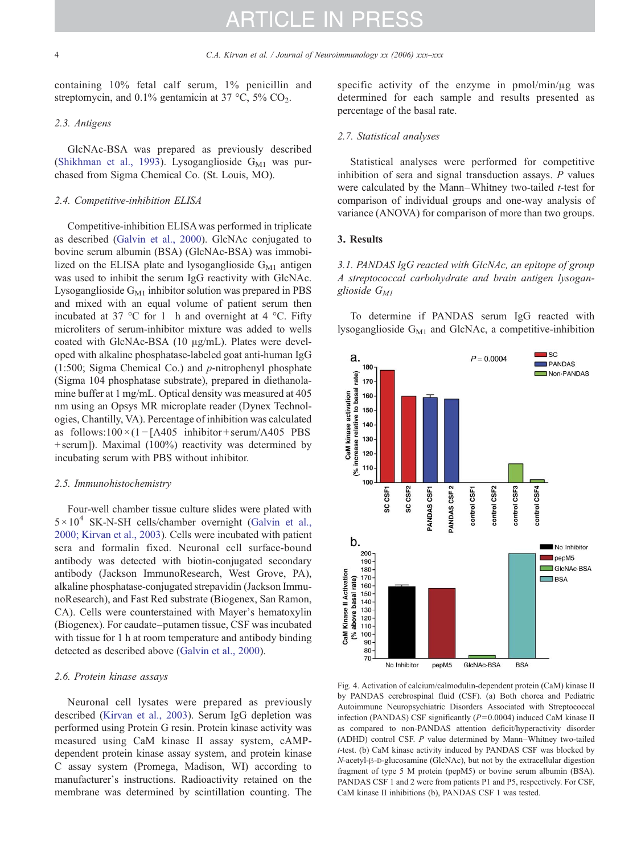<span id="page-3-0"></span>containing 10% fetal calf serum, 1% penicillin and streptomycin, and  $0.1\%$  gentamicin at 37 °C, 5% CO<sub>2</sub>.

#### 2.3. Antigens

GlcNAc-BSA was prepared as previously described ([Shikhman et al., 1993\)](#page-6-0). Lysoganglioside  $G_{M1}$  was purchased from Sigma Chemical Co. (St. Louis, MO).

#### 2.4. Competitive-inhibition ELISA

Competitive-inhibition ELISA was performed in triplicate as described ([Galvin et al., 2000](#page-6-0)). GlcNAc conjugated to bovine serum albumin (BSA) (GlcNAc-BSA) was immobilized on the ELISA plate and lysoganglioside  $G_{M1}$  antigen was used to inhibit the serum IgG reactivity with GlcNAc. Lysoganglioside  $G_{M1}$  inhibitor solution was prepared in PBS and mixed with an equal volume of patient serum then incubated at 37 °C for 1 h and overnight at 4 °C. Fifty microliters of serum-inhibitor mixture was added to wells coated with GlcNAc-BSA (10 μg/mL). Plates were developed with alkaline phosphatase-labeled goat anti-human IgG (1:500; Sigma Chemical Co.) and p-nitrophenyl phosphate (Sigma 104 phosphatase substrate), prepared in diethanolamine buffer at 1 mg/mL. Optical density was measured at 405 nm using an Opsys MR microplate reader (Dynex Technologies, Chantilly, VA). Percentage of inhibition was calculated as follows: $100 \times (1 - [A405 \text{ inhibitor} + \text{serum/A405 } PBS$ + serum]). Maximal (100%) reactivity was determined by incubating serum with PBS without inhibitor.

#### 2.5. Immunohistochemistry

Four-well chamber tissue culture slides were plated with  $5 \times 10^4$  SK-N-SH cells/chamber overnight [\(Galvin et al.,](#page-6-0) [2000; Kirvan et al., 2003\)](#page-6-0). Cells were incubated with patient sera and formalin fixed. Neuronal cell surface-bound antibody was detected with biotin-conjugated secondary antibody (Jackson ImmunoResearch, West Grove, PA), alkaline phosphatase-conjugated strepavidin (Jackson ImmunoResearch), and Fast Red substrate (Biogenex, San Ramon, CA). Cells were counterstained with Mayer's hematoxylin (Biogenex). For caudate–putamen tissue, CSF was incubated with tissue for 1 h at room temperature and antibody binding detected as described above [\(Galvin et al., 2000](#page-6-0)).

#### 2.6. Protein kinase assays

Neuronal cell lysates were prepared as previously described ([Kirvan et al., 2003\)](#page-6-0). Serum IgG depletion was performed using Protein G resin. Protein kinase activity was measured using CaM kinase II assay system, cAMPdependent protein kinase assay system, and protein kinase C assay system (Promega, Madison, WI) according to manufacturer's instructions. Radioactivity retained on the membrane was determined by scintillation counting. The specific activity of the enzyme in pmol/min/μg was determined for each sample and results presented as percentage of the basal rate.

#### 2.7. Statistical analyses

Statistical analyses were performed for competitive inhibition of sera and signal transduction assays. P values were calculated by the Mann–Whitney two-tailed  $t$ -test for comparison of individual groups and one-way analysis of variance (ANOVA) for comparison of more than two groups.

#### 3. Results

3.1. PANDAS IgG reacted with GlcNAc, an epitope of group A streptococcal carbohydrate and brain antigen lysoganglioside  $G_{MI}$ 

To determine if PANDAS serum IgG reacted with lysoganglioside  $G_{M1}$  and GlcNAc, a competitive-inhibition



Fig. 4. Activation of calcium/calmodulin-dependent protein (CaM) kinase II by PANDAS cerebrospinal fluid (CSF). (a) Both chorea and Pediatric Autoimmune Neuropsychiatric Disorders Associated with Streptococcal infection (PANDAS) CSF significantly  $(P= 0.0004)$  induced CaM kinase II as compared to non-PANDAS attention deficit/hyperactivity disorder (ADHD) control CSF. P value determined by Mann–Whitney two-tailed t-test. (b) CaM kinase activity induced by PANDAS CSF was blocked by N-acetyl-β-D-glucosamine (GlcNAc), but not by the extracellular digestion fragment of type 5 M protein (pepM5) or bovine serum albumin (BSA). PANDAS CSF 1 and 2 were from patients P1 and P5, respectively. For CSF, CaM kinase II inhibitions (b), PANDAS CSF 1 was tested.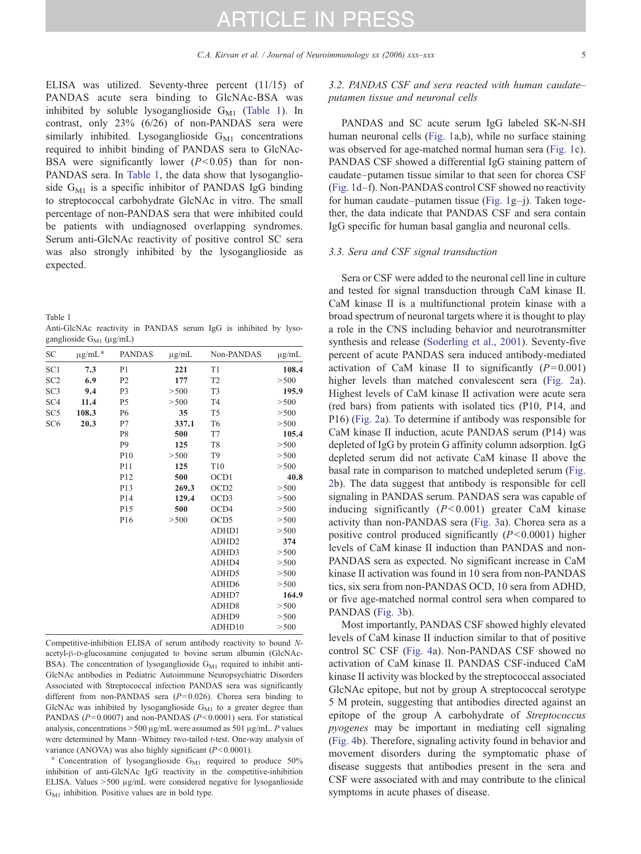<span id="page-4-0"></span>ELISA was utilized. Seventy-three percent (11/15) of PANDAS acute sera binding to GlcNAc-BSA was inhibited by soluble lysoganglioside  $G_{M1}$  (Table 1). In contrast, only 23% (6/26) of non-PANDAS sera were similarly inhibited. Lysoganglioside  $G_{M1}$  concentrations required to inhibit binding of PANDAS sera to GlcNAc-BSA were significantly lower  $(P< 0.05)$  than for non-PANDAS sera. In Table 1, the data show that lysoganglioside  $G_{M1}$  is a specific inhibitor of PANDAS IgG binding to streptococcal carbohydrate GlcNAc in vitro. The small percentage of non-PANDAS sera that were inhibited could be patients with undiagnosed overlapping syndromes. Serum anti-GlcNAc reactivity of positive control SC sera was also strongly inhibited by the lysoganglioside as expected.

Table 1

| Anti-GlcNAc reactivity in PANDAS serum IgG is inhibited by lyso- |  |  |  |  |  |
|------------------------------------------------------------------|--|--|--|--|--|
| ganglioside $G_{M1}$ (µg/mL)                                     |  |  |  |  |  |

| SC              | $\mu g/mL^a$ | <b>PANDAS</b>   | $\mu$ g/mL | Non-PANDAS        | $\mu$ g/mL |
|-----------------|--------------|-----------------|------------|-------------------|------------|
| SC <sub>1</sub> | 7.3          | P <sub>1</sub>  | 221        | T1                | 108.4      |
| SC <sub>2</sub> | 6.9          | P <sub>2</sub>  | 177        | T <sub>2</sub>    | > 500      |
| SC <sub>3</sub> | 9.4          | P <sub>3</sub>  | > 500      | T <sub>3</sub>    | 195.9      |
| SC <sub>4</sub> | 11.4         | P5              | > 500      | T <sub>4</sub>    | > 500      |
| SC <sub>5</sub> | 108.3        | P <sub>6</sub>  | 35         | T <sub>5</sub>    | > 500      |
| SC <sub>6</sub> | 20.3         | P7              | 337.1      | T <sub>6</sub>    | > 500      |
|                 |              | P8              | 500        | T7                | 105.4      |
|                 |              | P <sub>9</sub>  | 125        | T <sub>8</sub>    | > 500      |
|                 |              | P10             | > 500      | T <sub>9</sub>    | > 500      |
|                 |              | P11             | 125        | T10               | > 500      |
|                 |              | P <sub>12</sub> | 500        | OCD1              | 40.8       |
|                 |              | P13             | 269.3      | OCD <sub>2</sub>  | > 500      |
|                 |              | P <sub>14</sub> | 129.4      | OCD <sub>3</sub>  | > 500      |
|                 |              | P <sub>15</sub> | 500        | OCD4              | > 500      |
|                 |              | P <sub>16</sub> | > 500      | OCD <sub>5</sub>  | > 500      |
|                 |              |                 |            | ADHD1             | > 500      |
|                 |              |                 |            | ADHD <sub>2</sub> | 374        |
|                 |              |                 |            | ADHD3             | > 500      |
|                 |              |                 |            | ADHD4             | > 500      |
|                 |              |                 |            | ADHD5             | > 500      |
|                 |              |                 |            | ADHD <sub>6</sub> | > 500      |
|                 |              |                 |            | ADHD7             | 164.9      |
|                 |              |                 |            | ADHD <sub>8</sub> | > 500      |
|                 |              |                 |            | ADHD9             | > 500      |
|                 |              |                 |            | ADHD10            | > 500      |

Competitive-inhibition ELISA of serum antibody reactivity to bound Nacetyl-β-D-glucosamine conjugated to bovine serum albumin (GlcNAc-BSA). The concentration of lysoganglioside  $G_{M1}$  required to inhibit anti-GlcNAc antibodies in Pediatric Autoimmune Neuropsychiatric Disorders Associated with Streptococcal infection PANDAS sera was significantly different from non-PANDAS sera  $(P= 0.026)$ . Chorea sera binding to GlcNAc was inhibited by lysoganglioside  $G_{M1}$  to a greater degree than PANDAS ( $P= 0.0007$ ) and non-PANDAS ( $P< 0.0001$ ) sera. For statistical analysis, concentrations  $> 500 \mu g/mL$  were assumed as 501  $\mu g/mL$ . P values were determined by Mann–Whitney two-tailed t-test. One-way analysis of

variance (ANOVA) was also highly significant ( $P < 0.0001$ ).<br><sup>a</sup> Concentration of lysoganglioside G<sub>M1</sub> required to produce 50% inhibition of anti-GlcNAc IgG reactivity in the competitive-inhibition ELISA. Values >500 μg/mL were considered negative for lysoganlioside  $G_{M1}$  inhibition. Positive values are in bold type.

3.2. PANDAS CSF and sera reacted with human caudate– putamen tissue and neuronal cells

PANDAS and SC acute serum IgG labeled SK-N-SH human neuronal cells [\(Fig. 1](#page-1-0)a,b), while no surface staining was observed for age-matched normal human sera [\(Fig. 1](#page-1-0)c). PANDAS CSF showed a differential IgG staining pattern of caudate–putamen tissue similar to that seen for chorea CSF ([Fig. 1](#page-1-0)d–f). Non-PANDAS control CSF showed no reactivity for human caudate–putamen tissue [\(Fig. 1](#page-1-0)g–j). Taken together, the data indicate that PANDAS CSF and sera contain IgG specific for human basal ganglia and neuronal cells.

#### 3.3. Sera and CSF signal transduction

Sera or CSF were added to the neuronal cell line in culture and tested for signal transduction through CaM kinase II. CaM kinase II is a multifunctional protein kinase with a broad spectrum of neuronal targets where it is thought to play a role in the CNS including behavior and neurotransmitter synthesis and release ([Soderling et al., 2001\)](#page-6-0). Seventy-five percent of acute PANDAS sera induced antibody-mediated activation of CaM kinase II to significantly  $(P= 0.001)$ higher levels than matched convalescent sera [\(Fig. 2](#page-2-0)a). Highest levels of CaM kinase II activation were acute sera (red bars) from patients with isolated tics (P10, P14, and P16) [\(Fig. 2](#page-2-0)a). To determine if antibody was responsible for CaM kinase II induction, acute PANDAS serum (P14) was depleted of IgG by protein G affinity column adsorption. IgG depleted serum did not activate CaM kinase II above the basal rate in comparison to matched undepleted serum ([Fig.](#page-2-0) [2](#page-2-0)b). The data suggest that antibody is responsible for cell signaling in PANDAS serum. PANDAS sera was capable of inducing significantly  $(P<0.001)$  greater CaM kinase activity than non-PANDAS sera ([Fig. 3a](#page-2-0)). Chorea sera as a positive control produced significantly  $(P< 0.0001)$  higher levels of CaM kinase II induction than PANDAS and non-PANDAS sera as expected. No significant increase in CaM kinase II activation was found in 10 sera from non-PANDAS tics, six sera from non-PANDAS OCD, 10 sera from ADHD, or five age-matched normal control sera when compared to PANDAS ([Fig. 3](#page-2-0)b).

Most importantly, PANDAS CSF showed highly elevated levels of CaM kinase II induction similar to that of positive control SC CSF ([Fig. 4](#page-3-0)a). Non-PANDAS CSF showed no activation of CaM kinase II. PANDAS CSF-induced CaM kinase II activity was blocked by the streptococcal associated GlcNAc epitope, but not by group A streptococcal serotype 5 M protein, suggesting that antibodies directed against an epitope of the group A carbohydrate of Streptococcus pyogenes may be important in mediating cell signaling ([Fig. 4b](#page-3-0)). Therefore, signaling activity found in behavior and movement disorders during the symptomatic phase of disease suggests that antibodies present in the sera and CSF were associated with and may contribute to the clinical symptoms in acute phases of disease.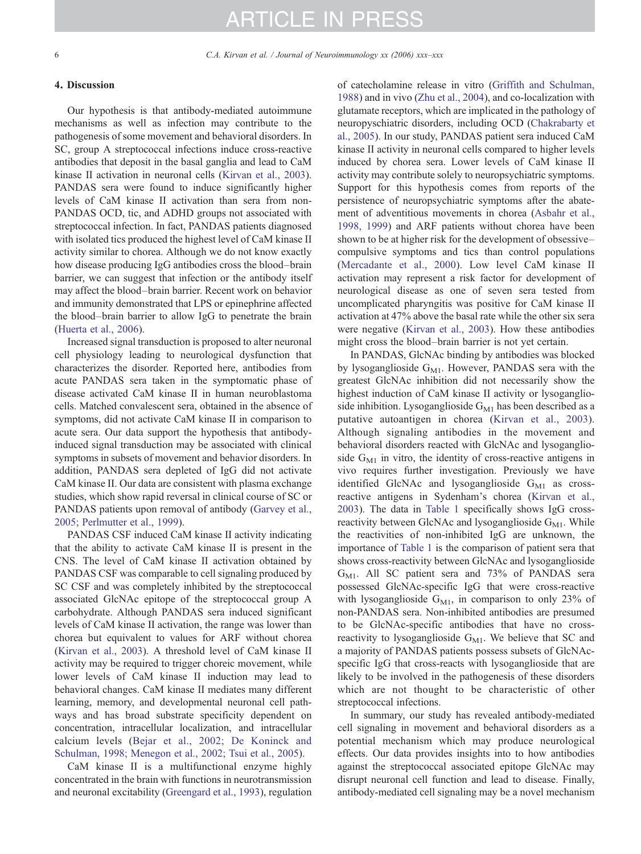#### 4. Discussion

Our hypothesis is that antibody-mediated autoimmune mechanisms as well as infection may contribute to the pathogenesis of some movement and behavioral disorders. In SC, group A streptococcal infections induce cross-reactive antibodies that deposit in the basal ganglia and lead to CaM kinase II activation in neuronal cells ([Kirvan et al., 2003](#page-6-0)). PANDAS sera were found to induce significantly higher levels of CaM kinase II activation than sera from non-PANDAS OCD, tic, and ADHD groups not associated with streptococcal infection. In fact, PANDAS patients diagnosed with isolated tics produced the highest level of CaM kinase II activity similar to chorea. Although we do not know exactly how disease producing IgG antibodies cross the blood–brain barrier, we can suggest that infection or the antibody itself may affect the blood–brain barrier. Recent work on behavior and immunity demonstrated that LPS or epinephrine affected the blood–brain barrier to allow IgG to penetrate the brain ([Huerta et al., 2006\)](#page-6-0).

Increased signal transduction is proposed to alter neuronal cell physiology leading to neurological dysfunction that characterizes the disorder. Reported here, antibodies from acute PANDAS sera taken in the symptomatic phase of disease activated CaM kinase II in human neuroblastoma cells. Matched convalescent sera, obtained in the absence of symptoms, did not activate CaM kinase II in comparison to acute sera. Our data support the hypothesis that antibodyinduced signal transduction may be associated with clinical symptoms in subsets of movement and behavior disorders. In addition, PANDAS sera depleted of IgG did not activate CaM kinase II. Our data are consistent with plasma exchange studies, which show rapid reversal in clinical course of SC or PANDAS patients upon removal of antibody ([Garvey et al.,](#page-6-0) [2005; Perlmutter et al., 1999\)](#page-6-0).

PANDAS CSF induced CaM kinase II activity indicating that the ability to activate CaM kinase II is present in the CNS. The level of CaM kinase II activation obtained by PANDAS CSF was comparable to cell signaling produced by SC CSF and was completely inhibited by the streptococcal associated GlcNAc epitope of the streptococcal group A carbohydrate. Although PANDAS sera induced significant levels of CaM kinase II activation, the range was lower than chorea but equivalent to values for ARF without chorea ([Kirvan et al., 2003\)](#page-6-0). A threshold level of CaM kinase II activity may be required to trigger choreic movement, while lower levels of CaM kinase II induction may lead to behavioral changes. CaM kinase II mediates many different learning, memory, and developmental neuronal cell pathways and has broad substrate specificity dependent on concentration, intracellular localization, and intracellular calcium levels [\(Bejar et al., 2002; De Koninck and](#page-6-0) [Schulman, 1998; Menegon et al., 2002; Tsui et al., 2005\)](#page-6-0).

CaM kinase II is a multifunctional enzyme highly concentrated in the brain with functions in neurotransmission and neuronal excitability [\(Greengard et al., 1993\)](#page-6-0), regulation of catecholamine release in vitro ([Griffith and Schulman,](#page-6-0) [1988\)](#page-6-0) and in vivo [\(Zhu et al., 2004](#page-6-0)), and co-localization with glutamate receptors, which are implicated in the pathology of neuropyschiatric disorders, including OCD [\(Chakrabarty et](#page-6-0) [al., 2005](#page-6-0)). In our study, PANDAS patient sera induced CaM kinase II activity in neuronal cells compared to higher levels induced by chorea sera. Lower levels of CaM kinase II activity may contribute solely to neuropsychiatric symptoms. Support for this hypothesis comes from reports of the persistence of neuropsychiatric symptoms after the abatement of adventitious movements in chorea [\(Asbahr et al.,](#page-6-0) [1998, 1999\)](#page-6-0) and ARF patients without chorea have been shown to be at higher risk for the development of obsessive– compulsive symptoms and tics than control populations ([Mercadante et al., 2000](#page-6-0)). Low level CaM kinase II activation may represent a risk factor for development of neurological disease as one of seven sera tested from uncomplicated pharyngitis was positive for CaM kinase II activation at 47% above the basal rate while the other six sera were negative [\(Kirvan et al., 2003](#page-6-0)). How these antibodies might cross the blood–brain barrier is not yet certain.

In PANDAS, GlcNAc binding by antibodies was blocked by lysoganglioside  $G_{M1}$ . However, PANDAS sera with the greatest GlcNAc inhibition did not necessarily show the highest induction of CaM kinase II activity or lysoganglioside inhibition. Lysoganglioside  $G_{M1}$  has been described as a putative autoantigen in chorea ([Kirvan et al., 2003\)](#page-6-0). Although signaling antibodies in the movement and behavioral disorders reacted with GlcNAc and lysoganglioside  $G_{M1}$  in vitro, the identity of cross-reactive antigens in vivo requires further investigation. Previously we have identified GlcNAc and lysoganglioside  $G_{M1}$  as crossreactive antigens in Sydenham's chorea [\(Kirvan et al.,](#page-6-0) [2003\)](#page-6-0). The data in [Table 1](#page-4-0) specifically shows IgG crossreactivity between GlcNAc and lysoganglioside  $G_{\text{M1}}$ . While the reactivities of non-inhibited IgG are unknown, the importance of [Table 1](#page-4-0) is the comparison of patient sera that shows cross-reactivity between GlcNAc and lysoganglioside  $G_{\text{M1}}$ . All SC patient sera and 73% of PANDAS sera possessed GlcNAc-specific IgG that were cross-reactive with lysoganglioside  $G_{M1}$ , in comparison to only 23% of non-PANDAS sera. Non-inhibited antibodies are presumed to be GlcNAc-specific antibodies that have no crossreactivity to lysoganglioside  $G_{M1}$ . We believe that SC and a majority of PANDAS patients possess subsets of GlcNAcspecific IgG that cross-reacts with lysoganglioside that are likely to be involved in the pathogenesis of these disorders which are not thought to be characteristic of other streptococcal infections.

In summary, our study has revealed antibody-mediated cell signaling in movement and behavioral disorders as a potential mechanism which may produce neurological effects. Our data provides insights into to how antibodies against the streptococcal associated epitope GlcNAc may disrupt neuronal cell function and lead to disease. Finally, antibody-mediated cell signaling may be a novel mechanism